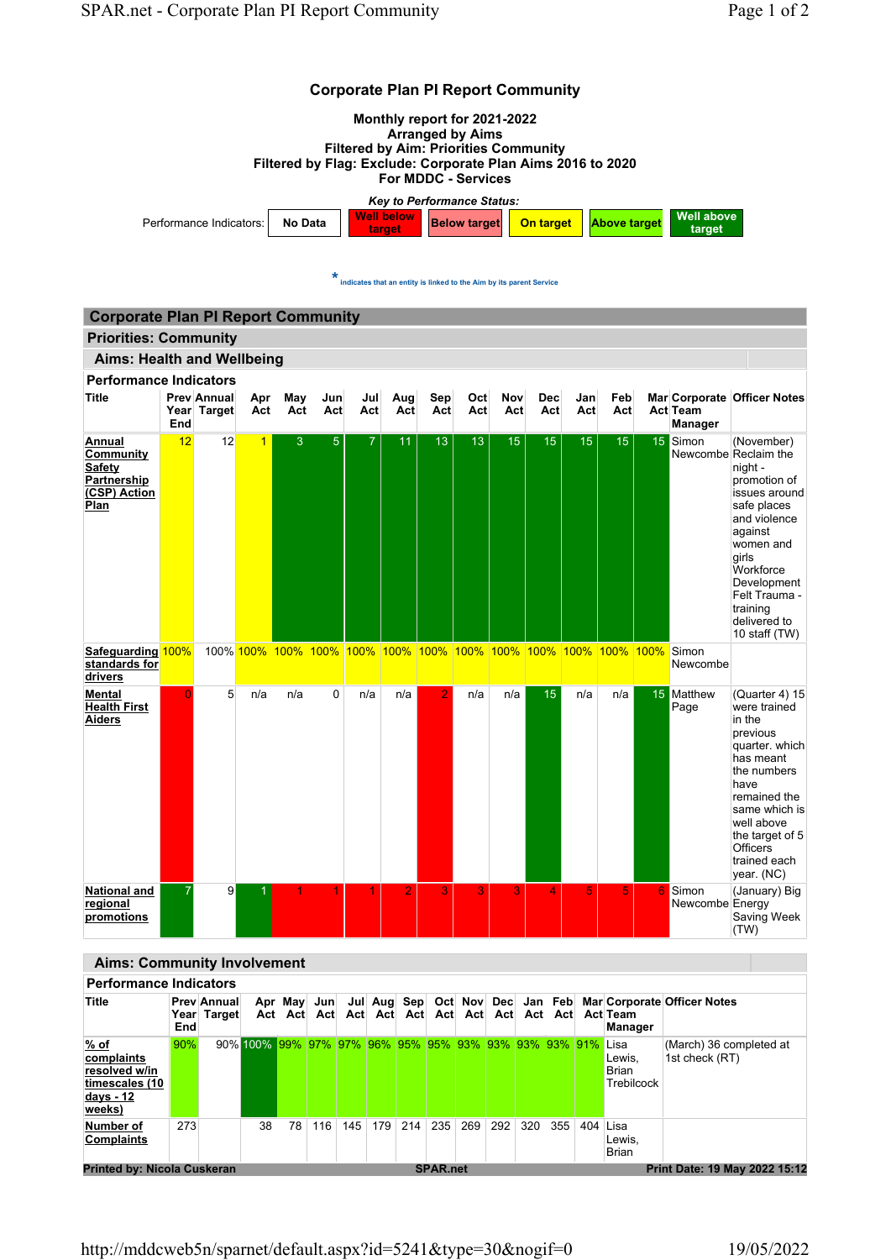

| <b>Performance Indicators</b>                                                |            |                                   |                                                           |     |                    |     |         |     |                 |     |     |     |     |          |                               |                                                             |
|------------------------------------------------------------------------------|------------|-----------------------------------|-----------------------------------------------------------|-----|--------------------|-----|---------|-----|-----------------|-----|-----|-----|-----|----------|-------------------------------|-------------------------------------------------------------|
| Title                                                                        | <b>End</b> | <b>Prev Annual</b><br>Year Target | Act                                                       | Act | Apr May Jun<br>Act |     | Act Act | Act | Act             | Act | Act | Act | Act |          | Act Team<br>Manager           | Jul Aug Sep Oct Nov Dec Jan Feb Mar Corporate Officer Notes |
| % of<br>complaints<br>resolved w/in<br>timescales (10<br>days - 12<br>weeks) | 90%        |                                   | 90% 100% 99% 97% 97% 96% 95% 95% 93% 93% 93% 93% 91% Lisa |     |                    |     |         |     |                 |     |     |     |     |          | Lewis,<br>Brian<br>Trebilcock | (March) 36 completed at<br>1st check (RT)                   |
| Number of<br><b>Complaints</b>                                               | 273        |                                   | 38                                                        | 78  | 116                | 145 | 179     | 214 | 235             | 269 | 292 | 320 | 355 | 404 Lisa | Lewis,<br>Brian               |                                                             |
| <b>Printed by: Nicola Cuskeran</b>                                           |            |                                   |                                                           |     |                    |     |         |     | <b>SPAR.net</b> |     |     |     |     |          |                               | Print Date: 19 May 2022 15:12                               |